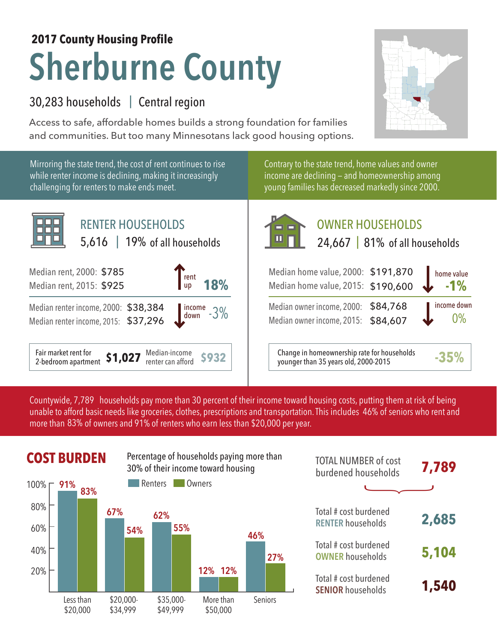## **Sherburne County 2017 County Housing Profile**

## 30,283 households Central region |

Access to safe, affordable homes builds a strong foundation for families and communities. But too many Minnesotans lack good housing options.

**-1%** home value

0% income down



Countywide, 7,789  $\,$  households pay more than 30 percent of their income toward housing costs, putting them at risk of being  $\,$ unable to afford basic needs like groceries, clothes, prescriptions and transportation. This includes 46% of seniors who rent and more than 83% of owners and 91% of renters who earn less than \$20,000 per year.



| <b>TOTAL NUMBER of cost</b><br>burdened households | 7,789 |
|----------------------------------------------------|-------|
|                                                    |       |
| Total # cost burdened<br><b>RENTER households</b>  | 2,685 |
| Total # cost burdened<br><b>OWNER households</b>   | 5,104 |
| Total # cost burdened<br><b>SENIOR households</b>  | 1,540 |